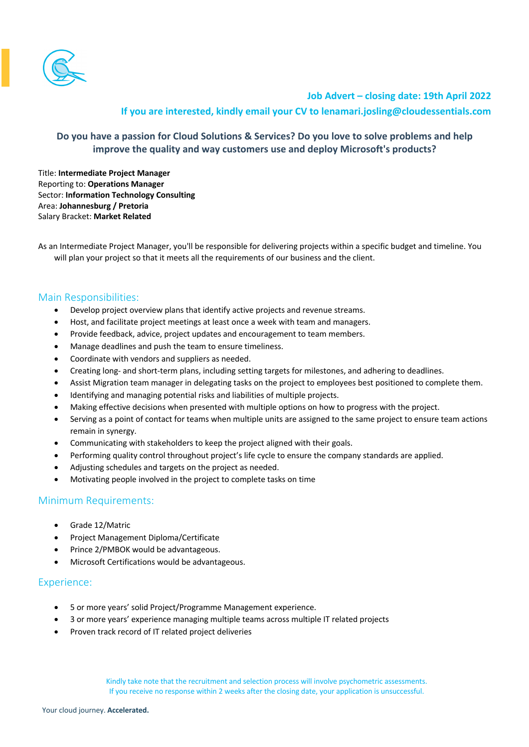

# **Job Advert – closing date: 19th April 2022 If you are interested, kindly email your CV to lenamari.josling@cloudessentials.com**

# **Do you have a passion for Cloud Solutions & Services? Do you love to solve problems and help improve the quality and way customers use and deploy Microsoft's products?**

Title: **Intermediate Project Manager** Reporting to: **Operations Manager** Sector: **Information Technology Consulting** Area: **Johannesburg / Pretoria** Salary Bracket: **Market Related**

As an Intermediate Project Manager, you'll be responsible for delivering projects within a specific budget and timeline. You will plan your project so that it meets all the requirements of our business and the client.

## Main Responsibilities:

- Develop project overview plans that identify active projects and revenue streams.
- Host, and facilitate project meetings at least once a week with team and managers.
- Provide feedback, advice, project updates and encouragement to team members.
- Manage deadlines and push the team to ensure timeliness.
- Coordinate with vendors and suppliers as needed.
- Creating long- and short-term plans, including setting targets for milestones, and adhering to deadlines.
- Assist Migration team manager in delegating tasks on the project to employees best positioned to complete them.
- Identifying and managing potential risks and liabilities of multiple projects.
- Making effective decisions when presented with multiple options on how to progress with the project.
- Serving as a point of contact for teams when multiple units are assigned to the same project to ensure team actions remain in synergy.
- Communicating with stakeholders to keep the project aligned with their goals.
- Performing quality control throughout project's life cycle to ensure the company standards are applied.
- Adjusting schedules and targets on the project as needed.
- Motivating people involved in the project to complete tasks on time

### Minimum Requirements:

- Grade 12/Matric
- Project Management Diploma/Certificate
- Prince 2/PMBOK would be advantageous.
- Microsoft Certifications would be advantageous.

### Experience:

- 5 or more years' solid Project/Programme Management experience.
- 3 or more years' experience managing multiple teams across multiple IT related projects
- Proven track record of IT related project deliveries

Kindly take note that the recruitment and selection process will involve psychometric assessments. If you receive no response within 2 weeks after the closing date, your application is unsuccessful.